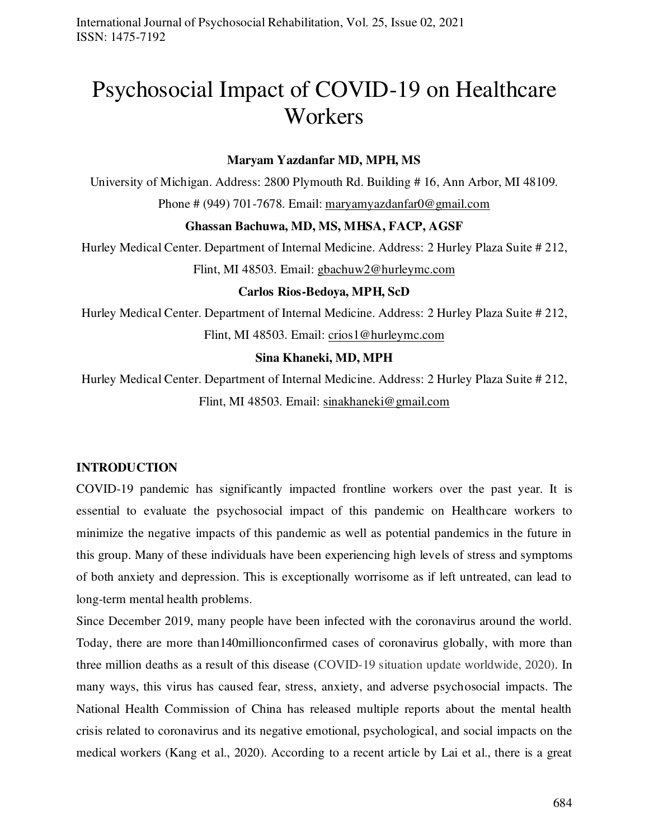# Psychosocial Impact of COVID-19 on Healthcare **Workers**

#### **Maryam Yazdanfar MD, MPH, MS**

University of Michigan. Address: 2800 Plymouth Rd. Building # 16, Ann Arbor, MI 48109. Phone # (949) 701-7678. Email: [maryamyazdanfar0@gmail.com](mailto:maryamyazdanfar0@gmail.com) 

#### **Ghassan Bachuwa, MD, MS, MHSA, FACP, AGSF**

Hurley Medical Center. Department of Internal Medicine. Address: 2 Hurley Plaza Suite # 212, Flint, MI 48503. Email: [gbachuw2@hurleymc.com](mailto:gbachuw2@hurleymc.com) 

#### **Carlos Rios-Bedoya, MPH, ScD**

Hurley Medical Center. Department of Internal Medicine. Address: 2 Hurley Plaza Suite # 212, Flint, MI 48503. Email: [crios1@hurleymc.com](mailto:crios1@hurleymc.com) 

#### **Sina Khaneki, MD, MPH**

Hurley Medical Center. Department of Internal Medicine. Address: 2 Hurley Plaza Suite # 212, Flint, MI 48503. Email: [sinakhaneki@gmail.com](mailto:sinakhaneki@gmail.com) 

#### **INTRODUCTION**

COVID-19 pandemic has significantly impacted frontline workers over the past year. It is essential to evaluate the psychosocial impact of this pandemic on Healthcare workers to minimize the negative impacts of this pandemic as well as potential pandemics in the future in this group. Many of these individuals have been experiencing high levels of stress and symptoms of both anxiety and depression. This is exceptionally worrisome as if left untreated, can lead to long-term mental health problems.

Since December 2019, many people have been infected with the coronavirus around the world. Today, there are more than140millionconfirmed cases of coronavirus globally, with more than three million deaths as a result of this disease (COVID-19 situation update worldwide, 2020). In many ways, this virus has caused fear, stress, anxiety, and adverse psychosocial impacts. The National Health Commission of China has released multiple reports about the mental health crisis related to coronavirus and its negative emotional, psychological, and social impacts on the medical workers (Kang et al., 2020). According to a recent article by Lai et al., there is a great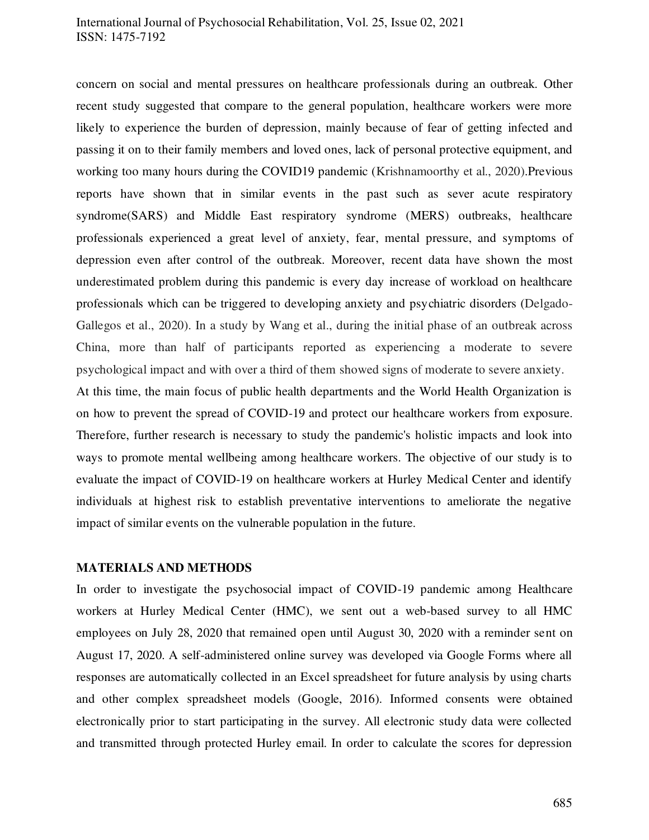#### International Journal of Psychosocial Rehabilitation, Vol. 25, Issue 02, 2021 ISSN: 1475-7192

concern on social and mental pressures on healthcare professionals during an outbreak. Other recent study suggested that compare to the general population, healthcare workers were more likely to experience the burden of depression, mainly because of fear of getting infected and passing it on to their family members and loved ones, lack of personal protective equipment, and working too many hours during the COVID19 pandemic (Krishnamoorthy et al., 2020).Previous reports have shown that in similar events in the past such as sever acute respiratory syndrome(SARS) and Middle East respiratory syndrome (MERS) outbreaks, healthcare professionals experienced a great level of anxiety, fear, mental pressure, and symptoms of depression even after control of the outbreak. Moreover, recent data have shown the most underestimated problem during this pandemic is every day increase of workload on healthcare professionals which can be triggered to developing anxiety and psychiatric disorders (Delgado-Gallegos et al., 2020). In a study by Wang et al., during the initial phase of an outbreak across China, more than half of participants reported as experiencing a moderate to severe psychological impact and with over a third of them showed signs of moderate to severe anxiety.

At this time, the main focus of public health departments and the World Health Organization is on how to prevent the spread of COVID-19 and protect our healthcare workers from exposure. Therefore, further research is necessary to study the pandemic's holistic impacts and look into ways to promote mental wellbeing among healthcare workers. The objective of our study is to evaluate the impact of COVID-19 on healthcare workers at Hurley Medical Center and identify individuals at highest risk to establish preventative interventions to ameliorate the negative impact of similar events on the vulnerable population in the future.

#### **MATERIALS AND METHODS**

In order to investigate the psychosocial impact of COVID-19 pandemic among Healthcare workers at Hurley Medical Center (HMC), we sent out a web-based survey to all HMC employees on July 28, 2020 that remained open until August 30, 2020 with a reminder sent on August 17, 2020. A self-administered online survey was developed via Google Forms where all responses are automatically collected in an Excel spreadsheet for future analysis by using charts and other complex spreadsheet models (Google, 2016). Informed consents were obtained electronically prior to start participating in the survey. All electronic study data were collected and transmitted through protected Hurley email. In order to calculate the scores for depression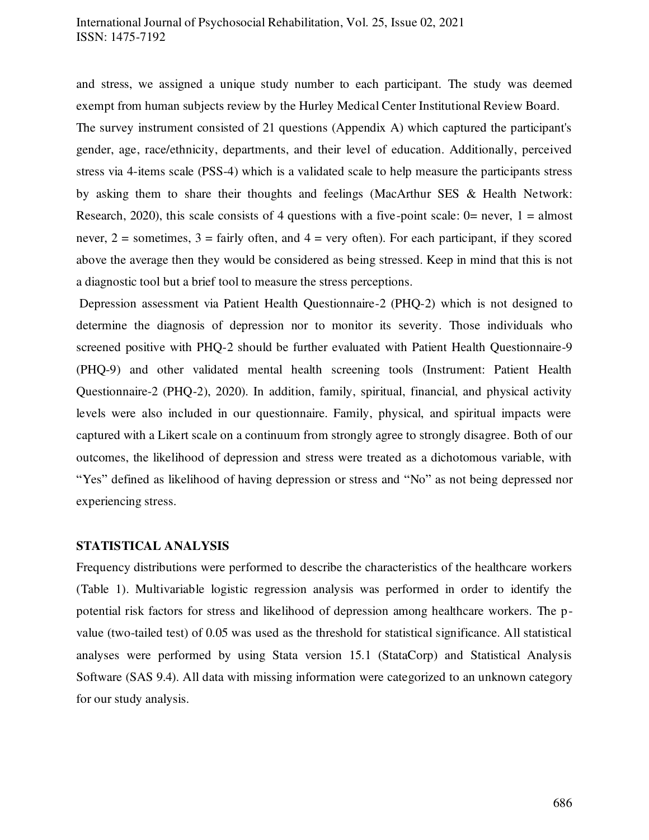and stress, we assigned a unique study number to each participant. The study was deemed exempt from human subjects review by the Hurley Medical Center Institutional Review Board.

The survey instrument consisted of 21 questions (Appendix A) which captured the participant's gender, age, race/ethnicity, departments, and their level of education. Additionally, perceived stress via 4-items scale (PSS-4) which is a validated scale to help measure the participants stress by asking them to share their thoughts and feelings (MacArthur SES & Health Network: Research, 2020), this scale consists of 4 questions with a five-point scale:  $0=$  never,  $1=$  almost never,  $2 =$  sometimes,  $3 =$  fairly often, and  $4 =$  very often). For each participant, if they scored above the average then they would be considered as being stressed. Keep in mind that this is not a diagnostic tool but a brief tool to measure the stress perceptions.

 Depression assessment via Patient Health Questionnaire-2 (PHQ-2) which is not designed to determine the diagnosis of depression nor to monitor its severity. Those individuals who screened positive with PHQ-2 should be further evaluated with Patient Health Questionnaire-9 (PHQ-9) and other validated mental health screening tools (Instrument: Patient Health Questionnaire-2 (PHQ-2), 2020). In addition, family, spiritual, financial, and physical activity levels were also included in our questionnaire. Family, physical, and spiritual impacts were captured with a Likert scale on a continuum from strongly agree to strongly disagree. Both of our outcomes, the likelihood of depression and stress were treated as a dichotomous variable, with "Yes" defined as likelihood of having depression or stress and "No" as not being depressed nor experiencing stress.

#### **STATISTICAL ANALYSIS**

Frequency distributions were performed to describe the characteristics of the healthcare workers (Table 1). Multivariable logistic regression analysis was performed in order to identify the potential risk factors for stress and likelihood of depression among healthcare workers. The pvalue (two-tailed test) of 0.05 was used as the threshold for statistical significance. All statistical analyses were performed by using Stata version 15.1 (StataCorp) and Statistical Analysis Software (SAS 9.4). All data with missing information were categorized to an unknown category for our study analysis.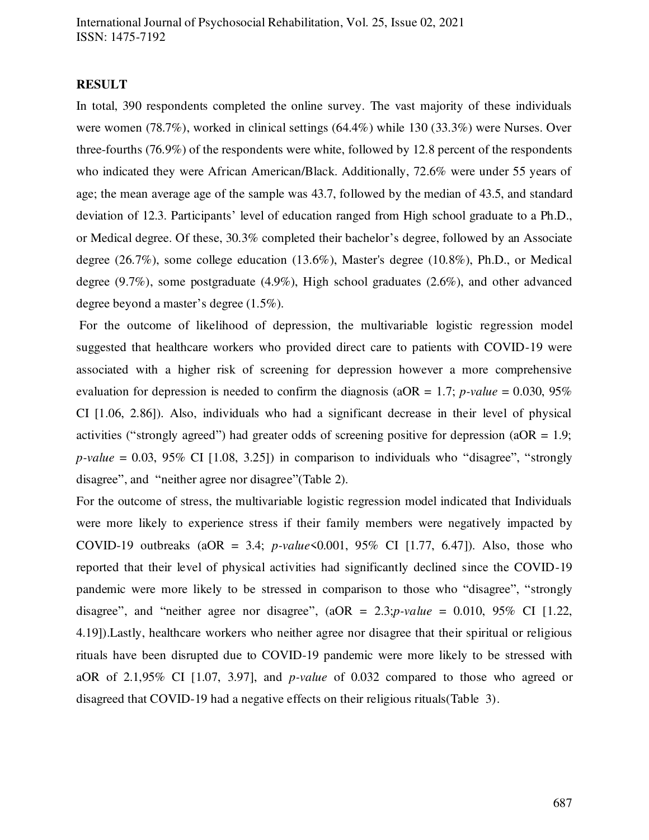#### **RESULT**

In total, 390 respondents completed the online survey. The vast majority of these individuals were women (78.7%), worked in clinical settings (64.4%) while 130 (33.3%) were Nurses. Over three-fourths (76.9%) of the respondents were white, followed by 12.8 percent of the respondents who indicated they were African American/Black. Additionally, 72.6% were under 55 years of age; the mean average age of the sample was 43.7, followed by the median of 43.5, and standard deviation of 12.3. Participants' level of education ranged from High school graduate to a Ph.D., or Medical degree. Of these, 30.3% completed their bachelor's degree, followed by an Associate degree (26.7%), some college education (13.6%), Master's degree (10.8%), Ph.D., or Medical degree (9.7%), some postgraduate (4.9%), High school graduates (2.6%), and other advanced degree beyond a master's degree (1.5%).

 For the outcome of likelihood of depression, the multivariable logistic regression model suggested that healthcare workers who provided direct care to patients with COVID-19 were associated with a higher risk of screening for depression however a more comprehensive evaluation for depression is needed to confirm the diagnosis ( $aOR = 1.7$ ; *p-value* = 0.030, 95% CI [1.06, 2.86]). Also, individuals who had a significant decrease in their level of physical activities ("strongly agreed") had greater odds of screening positive for depression ( $aOR = 1.9$ ;  $p-value = 0.03$ , 95% CI [1.08, 3.25]) in comparison to individuals who "disagree", "strongly disagree", and "neither agree nor disagree"(Table 2).

For the outcome of stress, the multivariable logistic regression model indicated that Individuals were more likely to experience stress if their family members were negatively impacted by COVID-19 outbreaks (aOR = 3.4; *p-value* < 0.001, 95% CI [1.77, 6.47]). Also, those who reported that their level of physical activities had significantly declined since the COVID-19 pandemic were more likely to be stressed in comparison to those who "disagree", "strongly disagree", and "neither agree nor disagree", (aOR = 2.3;*p-value* = 0.010, 95% CI [1.22, 4.19]).Lastly, healthcare workers who neither agree nor disagree that their spiritual or religious rituals have been disrupted due to COVID-19 pandemic were more likely to be stressed with aOR of 2.1,95% CI [1.07, 3.97], and *p-value* of 0.032 compared to those who agreed or disagreed that COVID-19 had a negative effects on their religious rituals(Table 3).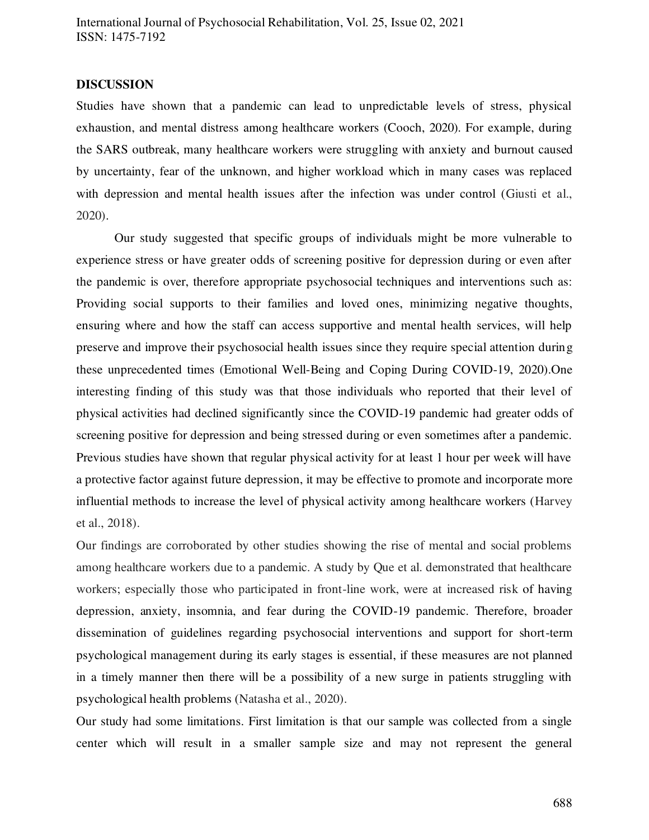#### **DISCUSSION**

Studies have shown that a pandemic can lead to unpredictable levels of stress, physical exhaustion, and mental distress among healthcare workers (Cooch, 2020). For example, during the SARS outbreak, many healthcare workers were struggling with anxiety and burnout caused by uncertainty, fear of the unknown, and higher workload which in many cases was replaced with depression and mental health issues after the infection was under control (Giusti et al., 2020).

Our study suggested that specific groups of individuals might be more vulnerable to experience stress or have greater odds of screening positive for depression during or even after the pandemic is over, therefore appropriate psychosocial techniques and interventions such as: Providing social supports to their families and loved ones, minimizing negative thoughts, ensuring where and how the staff can access supportive and mental health services, will help preserve and improve their psychosocial health issues since they require special attention during these unprecedented times (Emotional Well-Being and Coping During COVID-19, 2020).One interesting finding of this study was that those individuals who reported that their level of physical activities had declined significantly since the COVID-19 pandemic had greater odds of screening positive for depression and being stressed during or even sometimes after a pandemic. Previous studies have shown that regular physical activity for at least 1 hour per week will have a protective factor against future depression, it may be effective to promote and incorporate more influential methods to increase the level of physical activity among healthcare workers (Harvey et al., 2018).

Our findings are corroborated by other studies showing the rise of mental and social problems among healthcare workers due to a pandemic. A study by Que et al. demonstrated that healthcare workers; especially those who participated in front-line work, were at increased risk of having depression, anxiety, insomnia, and fear during the COVID-19 pandemic. Therefore, broader dissemination of guidelines regarding psychosocial interventions and support for short-term psychological management during its early stages is essential, if these measures are not planned in a timely manner then there will be a possibility of a new surge in patients struggling with psychological health problems (Natasha et al., 2020).

Our study had some limitations. First limitation is that our sample was collected from a single center which will result in a smaller sample size and may not represent the general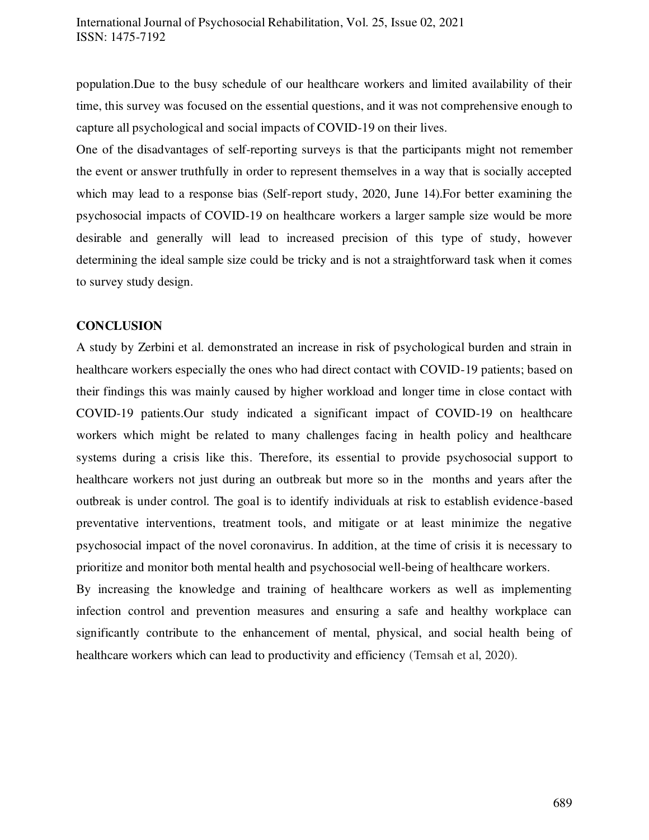population.Due to the busy schedule of our healthcare workers and limited availability of their time, this survey was focused on the essential questions, and it was not comprehensive enough to capture all psychological and social impacts of COVID-19 on their lives.

One of the disadvantages of self-reporting surveys is that the participants might not remember the event or answer truthfully in order to represent themselves in a way that is socially accepted which may lead to a response bias (Self-report study, 2020, June 14).For better examining the psychosocial impacts of COVID-19 on healthcare workers a larger sample size would be more desirable and generally will lead to increased precision of this type of study, however determining the ideal sample size could be tricky and is not a straightforward task when it comes to survey study design.

#### **CONCLUSION**

A study by Zerbini et al. demonstrated an increase in risk of psychological burden and strain in healthcare workers especially the ones who had direct contact with COVID-19 patients; based on their findings this was mainly caused by higher workload and longer time in close contact with COVID-19 patients.Our study indicated a significant impact of COVID-19 on healthcare workers which might be related to many challenges facing in health policy and healthcare systems during a crisis like this. Therefore, its essential to provide psychosocial support to healthcare workers not just during an outbreak but more so in the months and years after the outbreak is under control. The goal is to identify individuals at risk to establish evidence-based preventative interventions, treatment tools, and mitigate or at least minimize the negative psychosocial impact of the novel coronavirus. In addition, at the time of crisis it is necessary to prioritize and monitor both mental health and psychosocial well-being of healthcare workers.

By increasing the knowledge and training of healthcare workers as well as implementing infection control and prevention measures and ensuring a safe and healthy workplace can significantly contribute to the enhancement of mental, physical, and social health being of healthcare workers which can lead to productivity and efficiency (Temsah et al, 2020).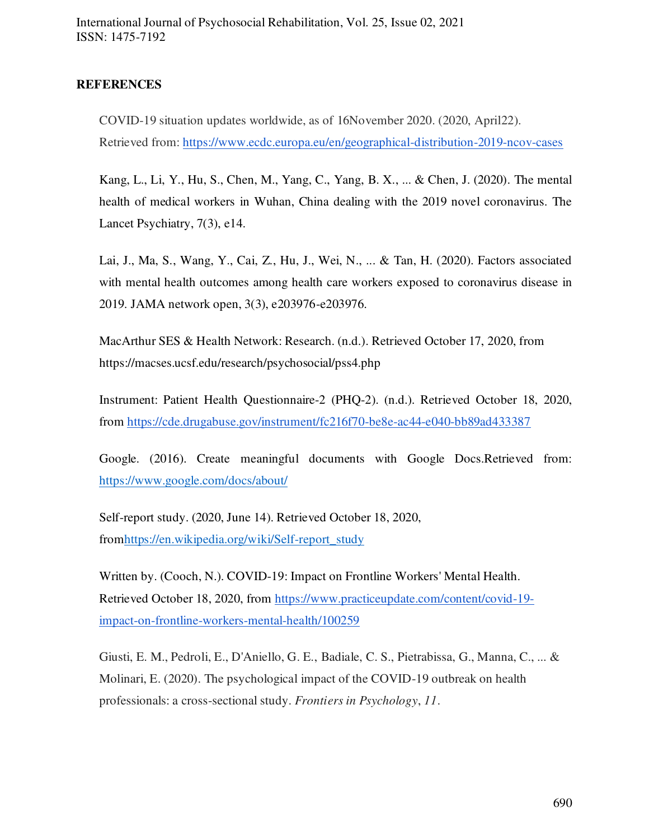### **REFERENCES**

COVID-19 situation updates worldwide, as of 16November 2020. (2020, April22). Retrieved from:<https://www.ecdc.europa.eu/en/geographical-distribution-2019-ncov-cases>

Kang, L., Li, Y., Hu, S., Chen, M., Yang, C., Yang, B. X., ... & Chen, J. (2020). The mental health of medical workers in Wuhan, China dealing with the 2019 novel coronavirus. The Lancet Psychiatry, 7(3), e14.

Lai, J., Ma, S., Wang, Y., Cai, Z., Hu, J., Wei, N., ... & Tan, H. (2020). Factors associated with mental health outcomes among health care workers exposed to coronavirus disease in 2019. JAMA network open, 3(3), e203976-e203976.

MacArthur SES & Health Network: Research. (n.d.). Retrieved October 17, 2020, from https://macses.ucsf.edu/research/psychosocial/pss4.php

Instrument: Patient Health Questionnaire-2 (PHQ-2). (n.d.). Retrieved October 18, 2020, from<https://cde.drugabuse.gov/instrument/fc216f70-be8e-ac44-e040-bb89ad433387>

Google. (2016). Create meaningful documents with Google Docs.Retrieved from: <https://www.google.com/docs/about/>

Self-report study. (2020, June 14). Retrieved October 18, 2020, fro[mhttps://en.wikipedia.org/wiki/Self-report\\_study](https://en.wikipedia.org/wiki/Self-report_study)

Written by. (Cooch, N.). COVID-19: Impact on Frontline Workers' Mental Health. Retrieved October 18, 2020, from [https://www.practiceupdate.com/content/covid-19](https://www.practiceupdate.com/content/covid-19-impact-on-frontline-workers-mental-health/100259) [impact-on-frontline-workers-mental-health/100259](https://www.practiceupdate.com/content/covid-19-impact-on-frontline-workers-mental-health/100259)

Giusti, E. M., Pedroli, E., D'Aniello, G. E., Badiale, C. S., Pietrabissa, G., Manna, C., ... & Molinari, E. (2020). The psychological impact of the COVID-19 outbreak on health professionals: a cross-sectional study. *Frontiers in Psychology*, *11*.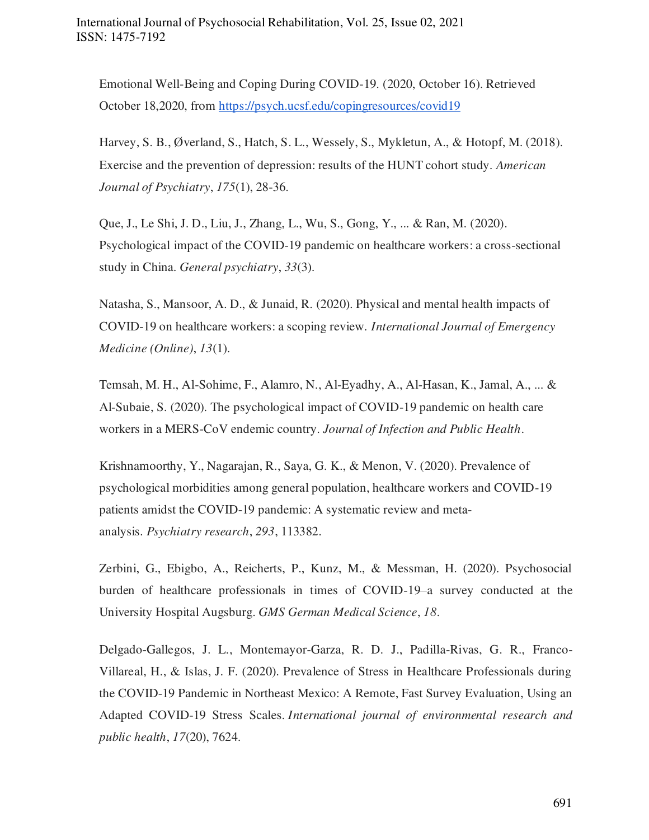Emotional Well-Being and Coping During COVID-19. (2020, October 16). Retrieved October 18,2020, from<https://psych.ucsf.edu/copingresources/covid19>

Harvey, S. B., Øverland, S., Hatch, S. L., Wessely, S., Mykletun, A., & Hotopf, M. (2018). Exercise and the prevention of depression: results of the HUNT cohort study. *American Journal of Psychiatry*, *175*(1), 28-36.

Que, J., Le Shi, J. D., Liu, J., Zhang, L., Wu, S., Gong, Y., ... & Ran, M. (2020). Psychological impact of the COVID-19 pandemic on healthcare workers: a cross-sectional study in China. *General psychiatry*, *33*(3).

Natasha, S., Mansoor, A. D., & Junaid, R. (2020). Physical and mental health impacts of COVID-19 on healthcare workers: a scoping review. *International Journal of Emergency Medicine (Online)*, *13*(1).

Temsah, M. H., Al-Sohime, F., Alamro, N., Al-Eyadhy, A., Al-Hasan, K., Jamal, A., ... & Al-Subaie, S. (2020). The psychological impact of COVID-19 pandemic on health care workers in a MERS-CoV endemic country. *Journal of Infection and Public Health*.

Krishnamoorthy, Y., Nagarajan, R., Saya, G. K., & Menon, V. (2020). Prevalence of psychological morbidities among general population, healthcare workers and COVID-19 patients amidst the COVID-19 pandemic: A systematic review and metaanalysis. *Psychiatry research*, *293*, 113382.

Zerbini, G., Ebigbo, A., Reicherts, P., Kunz, M., & Messman, H. (2020). Psychosocial burden of healthcare professionals in times of COVID-19–a survey conducted at the University Hospital Augsburg. *GMS German Medical Science*, *18*.

Delgado-Gallegos, J. L., Montemayor-Garza, R. D. J., Padilla-Rivas, G. R., Franco-Villareal, H., & Islas, J. F. (2020). Prevalence of Stress in Healthcare Professionals during the COVID-19 Pandemic in Northeast Mexico: A Remote, Fast Survey Evaluation, Using an Adapted COVID-19 Stress Scales. *International journal of environmental research and public health*, *17*(20), 7624.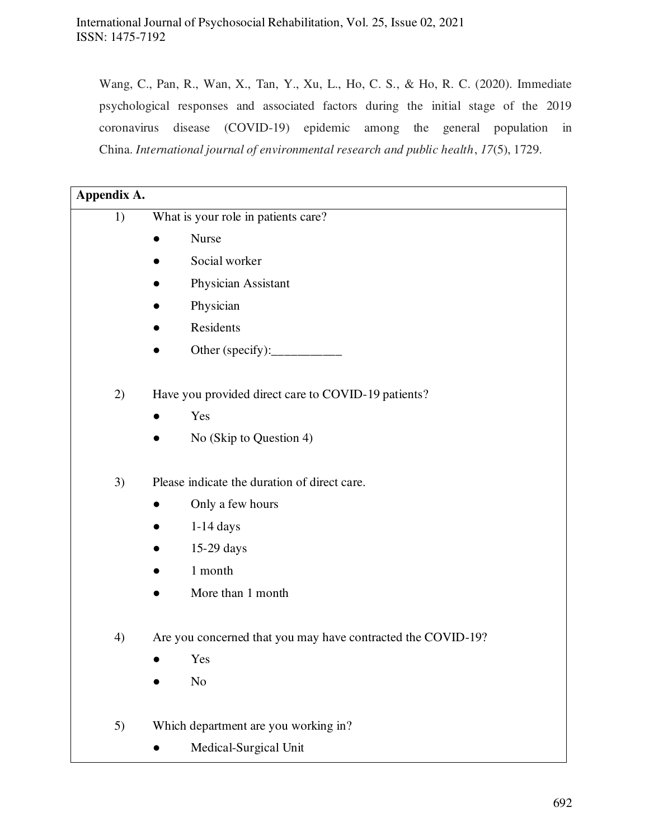Wang, C., Pan, R., Wan, X., Tan, Y., Xu, L., Ho, C. S., & Ho, R. C. (2020). Immediate psychological responses and associated factors during the initial stage of the 2019 coronavirus disease (COVID-19) epidemic among the general population in China. *International journal of environmental research and public health*, *17*(5), 1729.

| Appendix A. |                                                              |
|-------------|--------------------------------------------------------------|
| 1)          | What is your role in patients care?                          |
|             | <b>Nurse</b>                                                 |
|             | Social worker                                                |
|             | Physician Assistant                                          |
|             | Physician                                                    |
|             | Residents                                                    |
|             | Other (specify):                                             |
|             |                                                              |
| 2)          | Have you provided direct care to COVID-19 patients?          |
|             | Yes                                                          |
|             | No (Skip to Question 4)                                      |
|             |                                                              |
| 3)          | Please indicate the duration of direct care.                 |
|             | Only a few hours                                             |
|             | $1-14$ days                                                  |
|             | 15-29 days                                                   |
|             | 1 month                                                      |
|             | More than 1 month                                            |
|             |                                                              |
| 4)          | Are you concerned that you may have contracted the COVID-19? |
|             | Yes                                                          |
|             | $\rm No$                                                     |
|             |                                                              |
| 5)          | Which department are you working in?                         |
|             | Medical-Surgical Unit                                        |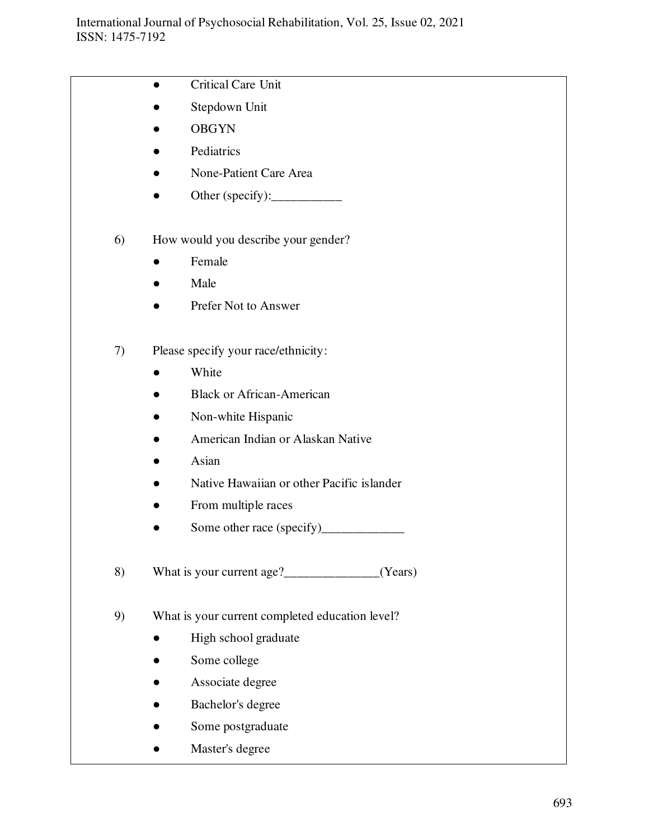|    | Critical Care Unit                                    |
|----|-------------------------------------------------------|
|    | Stepdown Unit                                         |
|    | <b>OBGYN</b>                                          |
|    | Pediatrics                                            |
|    | None-Patient Care Area                                |
|    | Other (specify): $\_\_\_\_\_\_\_\_\_\_\_\_\_\_\_\_\_$ |
| 6) | How would you describe your gender?                   |
|    | Female                                                |
|    | Male                                                  |
|    | Prefer Not to Answer                                  |
| 7) | Please specify your race/ethnicity:                   |
|    | White                                                 |
|    | <b>Black or African-American</b>                      |
|    | Non-white Hispanic                                    |
|    | American Indian or Alaskan Native                     |
|    | Asian                                                 |
|    | Native Hawaiian or other Pacific islander             |
|    | From multiple races                                   |
|    |                                                       |
| 8) | (Years)                                               |
| 9) | What is your current completed education level?       |
|    | High school graduate                                  |
|    | Some college                                          |
|    | Associate degree                                      |
|    | Bachelor's degree                                     |
|    | Some postgraduate                                     |
|    | Master's degree                                       |
|    |                                                       |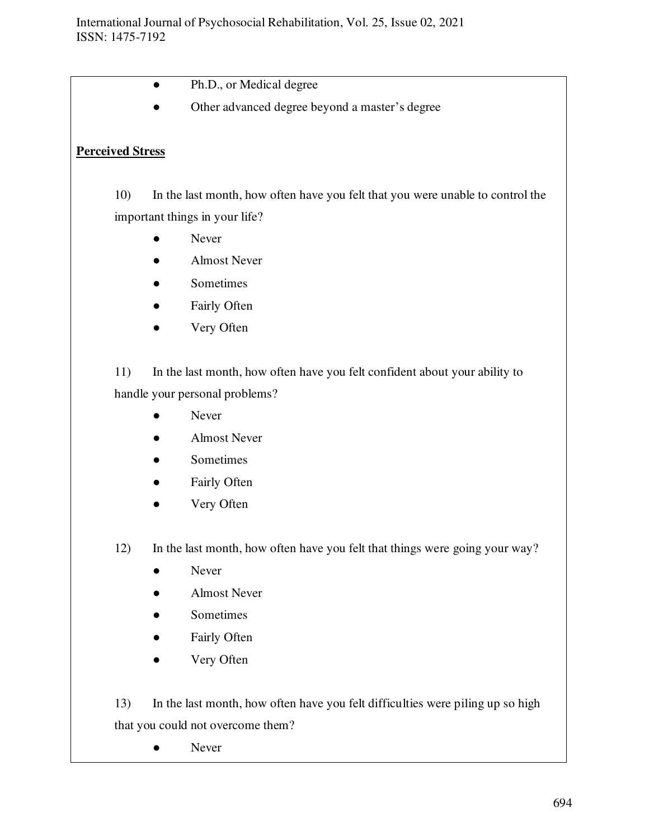- Ph.D., or Medical degree
- Other advanced degree beyond a master's degree

## **Perceived Stress**

- 10) In the last month, how often have you felt that you were unable to control the important things in your life?
	- **Never**
	- **Almost Never**
	- Sometimes
	- Fairly Often
	- Very Often

11) In the last month, how often have you felt confident about your ability to handle your personal problems?

- Never
- Almost Never
- Sometimes
- Fairly Often
- Very Often
- 12) In the last month, how often have you felt that things were going your way?
	- Never
	- Almost Never
	- Sometimes
	- Fairly Often
	- Very Often

13) In the last month, how often have you felt difficulties were piling up so high that you could not overcome them?

• Never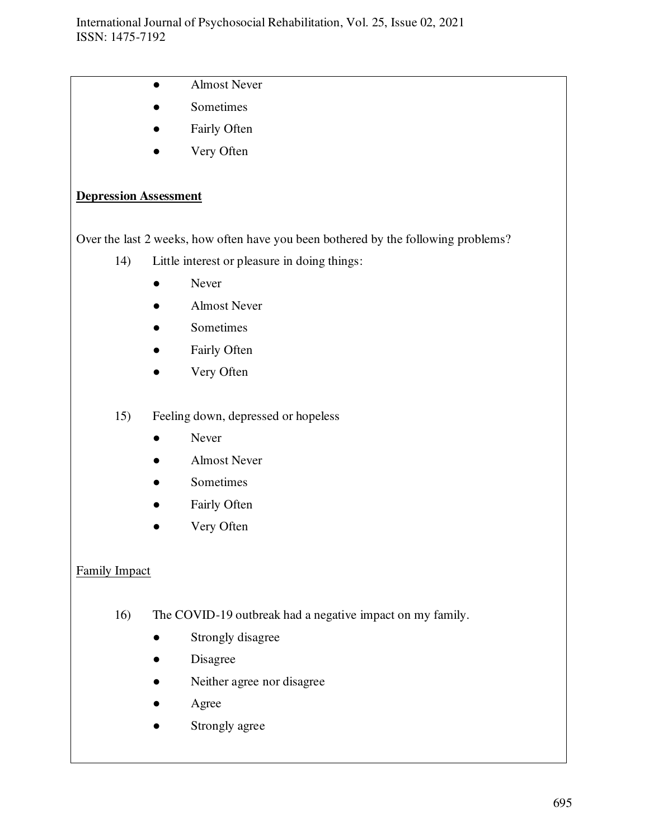- Almost Never
- Sometimes
- Fairly Often
- Very Often

## **Depression Assessment**

Over the last 2 weeks, how often have you been bothered by the following problems?

- 14) Little interest or pleasure in doing things:
	- Never
	- Almost Never
	- Sometimes
	- Fairly Often
	- Very Often
- 15) Feeling down, depressed or hopeless
	- Never
	- Almost Never
	- Sometimes
	- Fairly Often
	- Very Often

## Family Impact

- 16) The COVID-19 outbreak had a negative impact on my family.
	- Strongly disagree
	- Disagree
	- Neither agree nor disagree
	- **Agree**
	- Strongly agree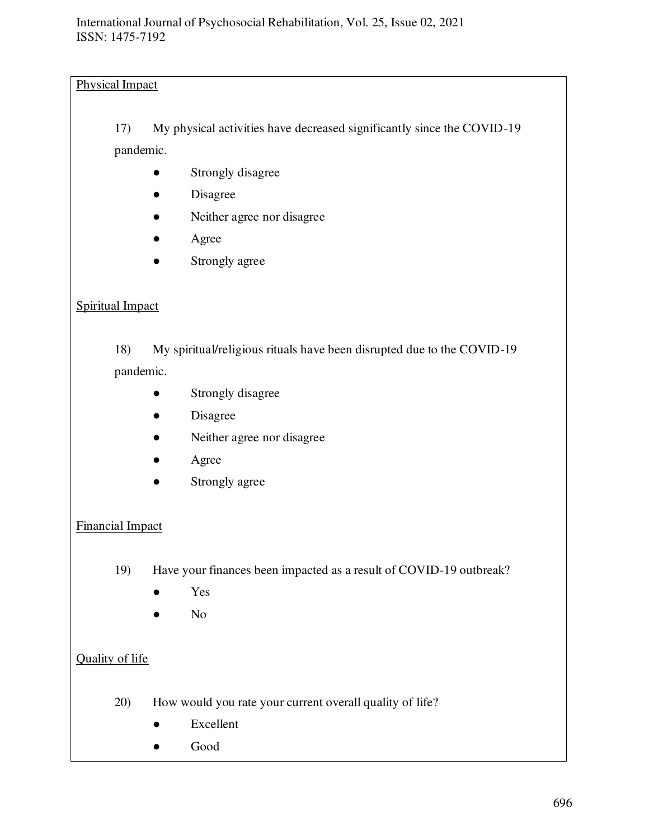# Physical Impact

17) My physical activities have decreased significantly since the COVID-19 pandemic.

- Strongly disagree
- Disagree
- Neither agree nor disagree
- Agree
- Strongly agree

# Spiritual Impact

18) My spiritual/religious rituals have been disrupted due to the COVID-19 pandemic.

- Strongly disagree
- Disagree
- Neither agree nor disagree
- Agree
- Strongly agree

# Financial Impact

- 19) Have your finances been impacted as a result of COVID-19 outbreak?
	- Yes
	- No

# Quality of life

- 20) How would you rate your current overall quality of life?
	- Excellent
	- Good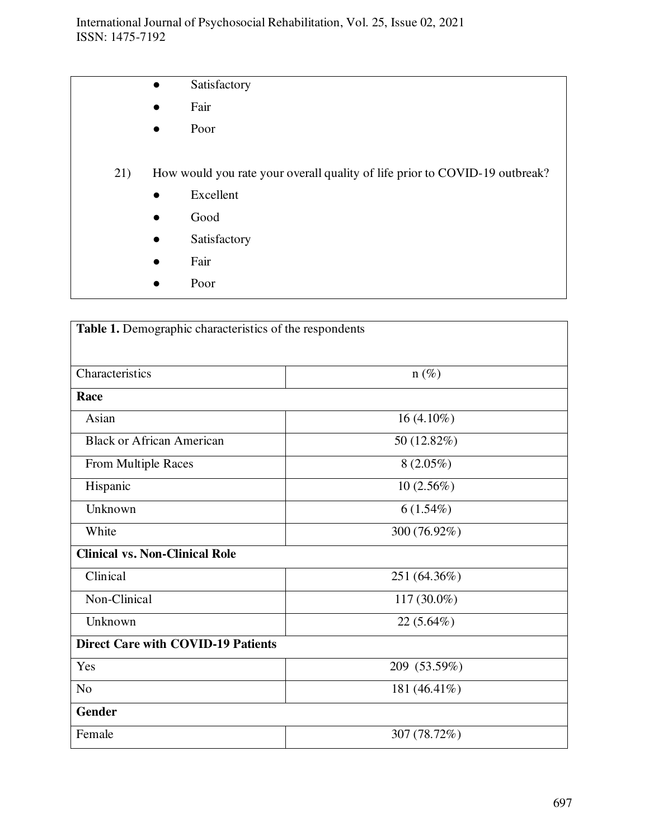- **•** Satisfactory
- Fair
- Poor
- 21) How would you rate your overall quality of life prior to COVID-19 outbreak?
	- Excellent
	- Good
	- Satisfactory
	- Fair
	- Poor

| Table 1. Demographic characteristics of the respondents |              |  |  |  |
|---------------------------------------------------------|--------------|--|--|--|
|                                                         |              |  |  |  |
| Characteristics                                         | $n(\%)$      |  |  |  |
| Race                                                    |              |  |  |  |
| Asian                                                   | $16(4.10\%)$ |  |  |  |
| <b>Black or African American</b>                        | 50 (12.82%)  |  |  |  |
| From Multiple Races                                     | $8(2.05\%)$  |  |  |  |
| Hispanic                                                | 10(2.56%)    |  |  |  |
| Unknown                                                 | $6(1.54\%)$  |  |  |  |
| White                                                   | 300 (76.92%) |  |  |  |
| <b>Clinical vs. Non-Clinical Role</b>                   |              |  |  |  |
| Clinical                                                | 251 (64.36%) |  |  |  |
| Non-Clinical                                            | 117 (30.0%)  |  |  |  |
| Unknown                                                 | $22(5.64\%)$ |  |  |  |
| <b>Direct Care with COVID-19 Patients</b>               |              |  |  |  |
| Yes                                                     | 209 (53.59%) |  |  |  |
| N <sub>o</sub>                                          | 181 (46.41%) |  |  |  |
| <b>Gender</b>                                           |              |  |  |  |
| Female                                                  | 307 (78.72%) |  |  |  |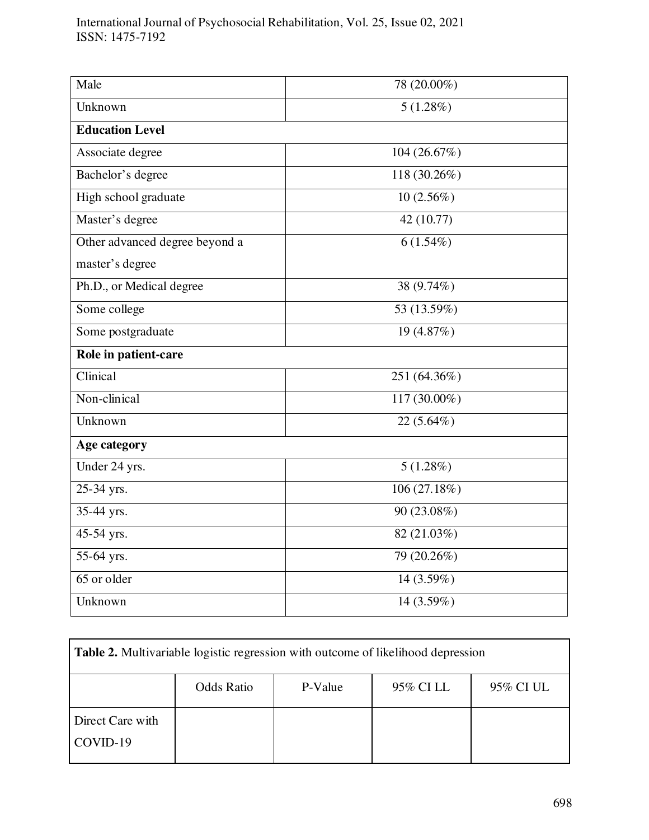| Male                           | 78 (20.00%)               |  |  |  |
|--------------------------------|---------------------------|--|--|--|
| Unknown                        | $5(1.28\%)$               |  |  |  |
| <b>Education Level</b>         |                           |  |  |  |
| Associate degree               | 104 (26.67%)              |  |  |  |
| Bachelor's degree              | 118 (30.26%)              |  |  |  |
| High school graduate           | $10(2.56\%)$              |  |  |  |
| Master's degree                | 42 (10.77)                |  |  |  |
| Other advanced degree beyond a | $6(1.54\%)$               |  |  |  |
| master's degree                |                           |  |  |  |
| Ph.D., or Medical degree       | 38 (9.74%)                |  |  |  |
| Some college                   | 53 (13.59%)               |  |  |  |
| Some postgraduate              | 19 (4.87%)                |  |  |  |
| Role in patient-care           |                           |  |  |  |
| Clinical                       | 251 (64.36%)              |  |  |  |
| Non-clinical                   | 117 (30.00%)              |  |  |  |
| Unknown                        | $22(5.64\%)$              |  |  |  |
| Age category                   |                           |  |  |  |
| Under 24 yrs.                  | $5(1.28\%)$               |  |  |  |
| 25-34 yrs.                     | $\overline{106}$ (27.18%) |  |  |  |
| 35-44 yrs.                     | 90 (23.08%)               |  |  |  |
| 45-54 yrs.                     | 82 (21.03%)               |  |  |  |
| 55-64 yrs.                     | 79 (20.26%)               |  |  |  |
| 65 or older                    | 14 (3.59%)                |  |  |  |
| Unknown                        | 14 (3.59%)                |  |  |  |

| Table 2. Multivariable logistic regression with outcome of likelihood depression |                   |         |           |           |  |
|----------------------------------------------------------------------------------|-------------------|---------|-----------|-----------|--|
|                                                                                  | <b>Odds Ratio</b> | P-Value | 95% CI LL | 95% CI UL |  |
| Direct Care with<br>COVID-19                                                     |                   |         |           |           |  |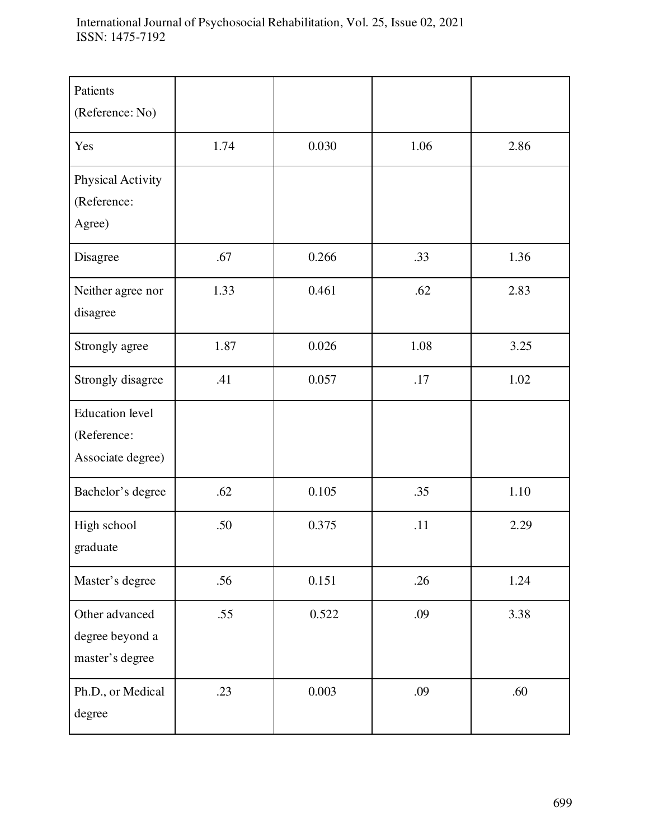| Patients<br>(Reference: No)                                |      |       |      |      |
|------------------------------------------------------------|------|-------|------|------|
| Yes                                                        | 1.74 | 0.030 | 1.06 | 2.86 |
| Physical Activity<br>(Reference:<br>Agree)                 |      |       |      |      |
| Disagree                                                   | .67  | 0.266 | .33  | 1.36 |
| Neither agree nor<br>disagree                              | 1.33 | 0.461 | .62  | 2.83 |
| Strongly agree                                             | 1.87 | 0.026 | 1.08 | 3.25 |
| Strongly disagree                                          | .41  | 0.057 | .17  | 1.02 |
| <b>Education</b> level<br>(Reference:<br>Associate degree) |      |       |      |      |
| Bachelor's degree                                          | .62  | 0.105 | .35  | 1.10 |
| High school<br>graduate                                    | .50  | 0.375 | .11  | 2.29 |
| Master's degree                                            | .56  | 0.151 | .26  | 1.24 |
| Other advanced<br>degree beyond a<br>master's degree       | .55  | 0.522 | .09  | 3.38 |
| Ph.D., or Medical<br>degree                                | .23  | 0.003 | .09  | .60  |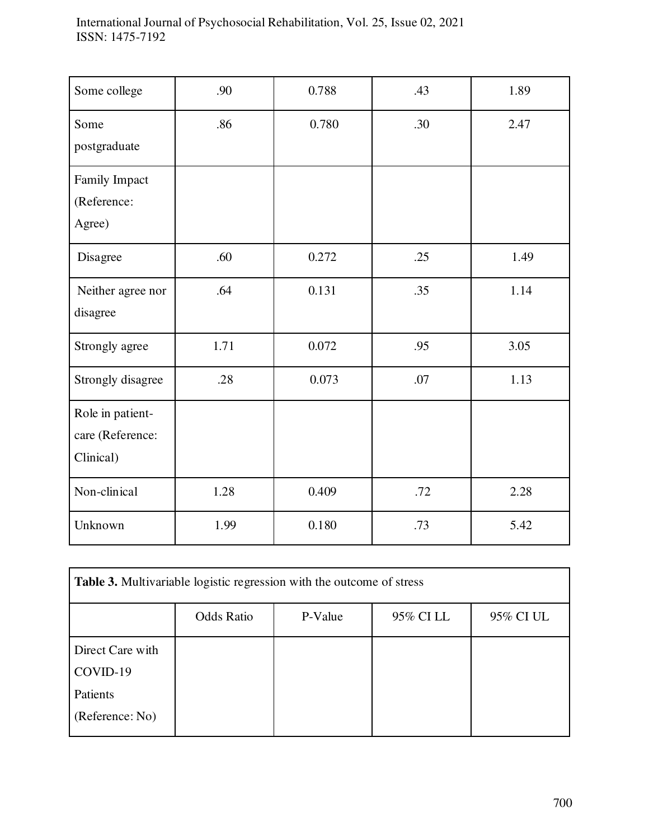| Some college                                      | .90  | 0.788 | .43 | 1.89 |
|---------------------------------------------------|------|-------|-----|------|
| Some<br>postgraduate                              | .86  | 0.780 | .30 | 2.47 |
| Family Impact<br>(Reference:<br>Agree)            |      |       |     |      |
| Disagree                                          | .60  | 0.272 | .25 | 1.49 |
| Neither agree nor<br>disagree                     | .64  | 0.131 | .35 | 1.14 |
| Strongly agree                                    | 1.71 | 0.072 | .95 | 3.05 |
| Strongly disagree                                 | .28  | 0.073 | .07 | 1.13 |
| Role in patient-<br>care (Reference:<br>Clinical) |      |       |     |      |
| Non-clinical                                      | 1.28 | 0.409 | .72 | 2.28 |
| Unknown                                           | 1.99 | 0.180 | .73 | 5.42 |

| Table 3. Multivariable logistic regression with the outcome of stress |                   |         |           |           |  |
|-----------------------------------------------------------------------|-------------------|---------|-----------|-----------|--|
|                                                                       | <b>Odds Ratio</b> | P-Value | 95% CI LL | 95% CI UL |  |
| Direct Care with                                                      |                   |         |           |           |  |
| COVID-19                                                              |                   |         |           |           |  |
| Patients                                                              |                   |         |           |           |  |
| (Reference: No)                                                       |                   |         |           |           |  |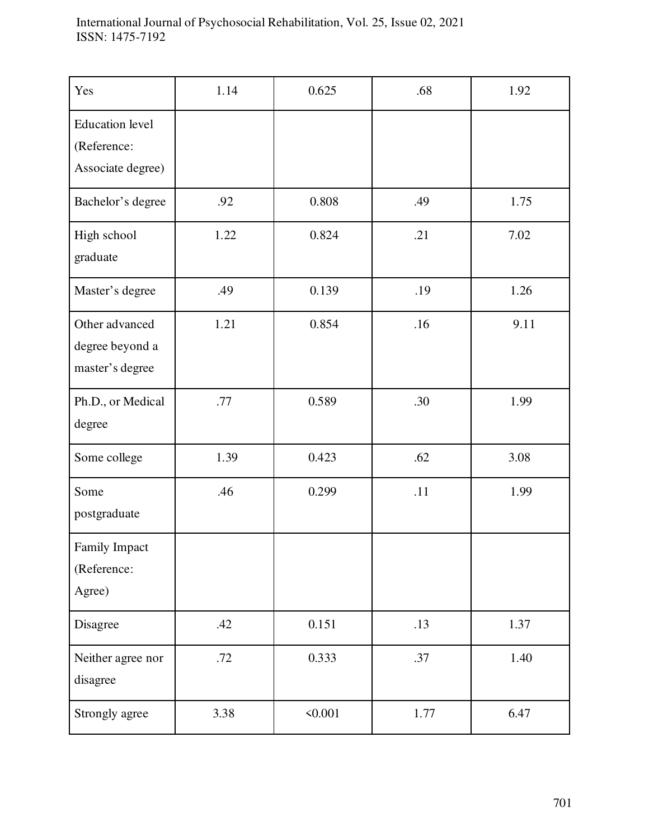| Yes                                                        | 1.14 | 0.625   | .68  | 1.92 |
|------------------------------------------------------------|------|---------|------|------|
| <b>Education</b> level<br>(Reference:<br>Associate degree) |      |         |      |      |
| Bachelor's degree                                          | .92  | 0.808   | .49  | 1.75 |
| High school<br>graduate                                    | 1.22 | 0.824   | .21  | 7.02 |
| Master's degree                                            | .49  | 0.139   | .19  | 1.26 |
| Other advanced<br>degree beyond a<br>master's degree       | 1.21 | 0.854   | .16  | 9.11 |
| Ph.D., or Medical<br>degree                                | .77  | 0.589   | .30  | 1.99 |
| Some college                                               | 1.39 | 0.423   | .62  | 3.08 |
| Some<br>postgraduate                                       | .46  | 0.299   | .11  | 1.99 |
| Family Impact<br>(Reference:<br>Agree)                     |      |         |      |      |
| Disagree                                                   | .42  | 0.151   | .13  | 1.37 |
| Neither agree nor<br>disagree                              | .72  | 0.333   | .37  | 1.40 |
| Strongly agree                                             | 3.38 | < 0.001 | 1.77 | 6.47 |